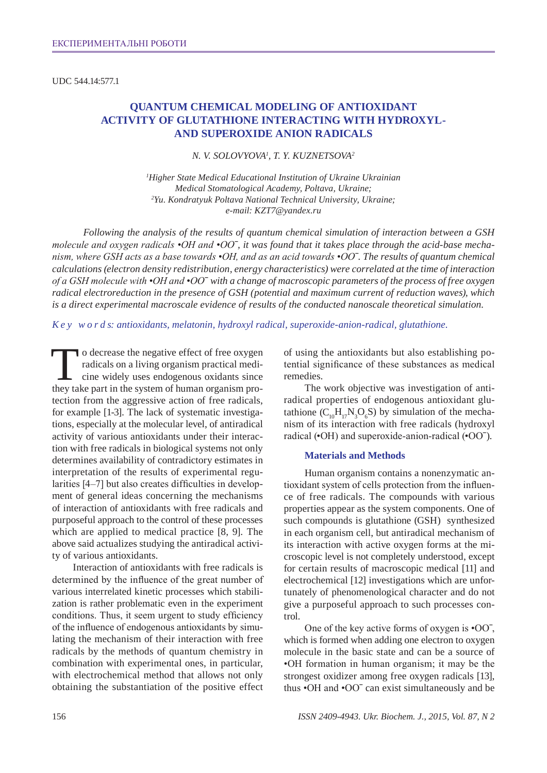UDC 544.14:577.1

# **Quantum chemical modeling of antioxidant activity of glutathione interacting with hydroxyland superoxide anion radicals**

*N. V. Solovyova1 , T. Y. Kuznetsova2*

*1 Higher State Medical Educational Institution of Ukraine Ukrainian Medical Stomatological Academy, Poltava, Ukraine; 2 Yu. Kondratyuk Poltava National Technical University, Ukraine; e-mail: KZT7@yandex.ru*

*Following the analysis of the results of quantum chemical simulation of interaction between a GSH molecule and oxygen radicals •ОН and •ОО*ˉ*, it was found that it takes place through the acid-base mechanism, where GSH acts as a base towards •ОН, and as an acid towards •ОО*ˉ*. The results of quantum chemical calculations (electron density redistribution, energy characteristics) were correlated at the time of interaction of a GSH molecule with •ОН and •ОО*ˉ *with a change of macroscopic parameters of the process of free oxygen radical electroreduction in the presence of GSH (potential and maximum current of reduction waves), which is a direct experimental macroscale evidence of results of the conducted nanoscale theoretical simulation.* 

*K e y w o r d s: antioxidants, melatonin, hydroxyl radical, superoxide-anion-radical, glutathione.*

To decrease the negative effect of free oxygen<br>radicals on a living organism practical medi-<br>cine widely uses endogenous oxidants since<br>they take part in the system of human organism proradicals on a living organism practical medicine widely uses endogenous oxidants since they take part in the system of human organism protection from the aggressive action of free radicals, for example [1-3]. The lack of systematic investigations, especially at the molecular level, of antiradical activity of various antioxidants under their interaction with free radicals in biological systems not only determines availability of contradictory estimates in interpretation of the results of experimental regularities [4–7] but also creates difficulties in development of general ideas concerning the mechanisms of interaction of antioxidants with free radicals and purposeful approach to the control of these processes which are applied to medical practice [8, 9]. The above said actualizes studying the antiradical activity of various antioxidants.

Interaction of antioxidants with free radicals is determined by the influence of the great number of various interrelated kinetic processes which stabilization is rather problematic even in the experiment conditions. Thus, it seem urgent to study efficiency of the influence of endogenous antioxidants by simulating the mechanism of their interaction with free radicals by the methods of quantum chemistry in combination with experimental ones, in particular, with electrochemical method that allows not only obtaining the substantiation of the positive effect

of using the antioxidants but also establishing potential significance of these substances as medical remedies.

The work objective was investigation of antiradical properties of endogenous antioxidant glutathione  $(C_{10}H_{17}N_3O_6S)$  by simulation of the mechanism of its interaction with free radicals (hydroxyl radical (•ОН) and superoxide-anion-radical (•ООˉ).

#### **Materials and Methods**

Human organism contains a nonenzymatic antioxidant system of cells protection from the influence of free radicals. The compounds with various properties appear as the system components. One of such compounds is glutathione (GSH) synthesized in each organism cell, but antiradical mechanism of its interaction with active oxygen forms at the microscopic level is not completely understood, except for certain results of macroscopic medical [11] and electrochemical [12] investigations which are unfortunately of phenomenological character and do not give a purposeful approach to such processes control.

One of the key active forms of oxygen is •ООˉ, which is formed when adding one electron to oxygen molecule in the basic state and can be a source of •ОН formation in human organism; it may be the strongest oxidizer among free oxygen radicals [13], thus •ОН and •ООˉ can exist simultaneously and be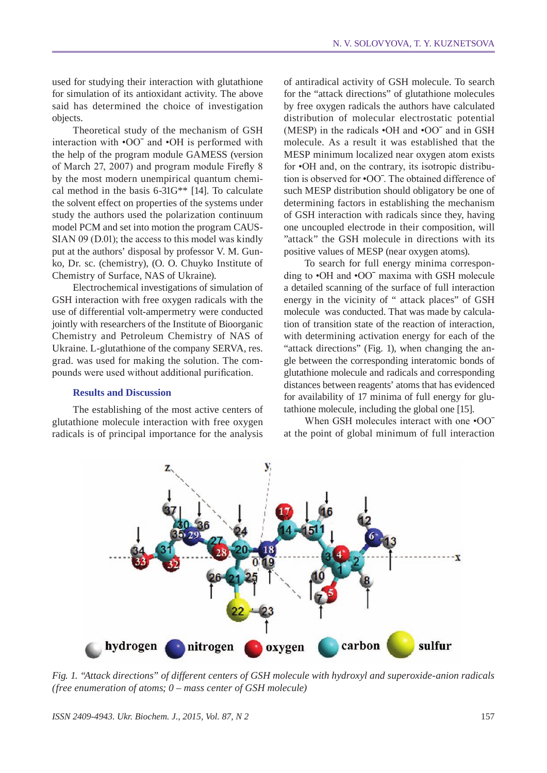used for studying their interaction with glutathione for simulation of its antioxidant activity. The above said has determined the choice of investigation objects.

Theoretical study of the mechanism of GSH interaction with •ООˉ and •ОН is performed with the help of the program module GAMESS (version of March 27, 2007) and program module Firefly 8 by the most modern unempirical quantum chemical method in the basis 6-31G\*\* [14]. To calculate the solvent effect on properties of the systems under study the authors used the polarization continuum model PCM and set into motion the program CAUS-SIAN 09 (D.01); the access to this model was kindly put at the authors' disposal by professor V. M. Gunko, Dr. sc. (chemistry), (O. O. Chuyko Institute of Chemistry of Surface, NAS of Ukraine).

Electrochemical investigations of simulation of GSH interaction with free oxygen radicals with the use of differential volt-ampermetry were conducted jointly with researchers of the Institute of Bioorganic Chemistry and Petroleum Chemistry of NAS of Ukraine. L-glutathione of the company SERVA, res. grad. was used for making the solution. The compounds were used without additional purification.

### **Results and Discussion**

The establishing of the most active centers of glutathione molecule interaction with free oxygen radicals is of principal importance for the analysis of antiradical activity of GSH molecule. To search for the "attack directions" of glutathione molecules by free oxygen radicals the authors have calculated distribution of molecular electrostatic potential (MESP) in the radicals •ОН and •ООˉ and in GSH molecule. As a result it was established that the MESP minimum localized near oxygen atom exists for  $\bullet$ OH and, on the contrary, its isotropic distribution is observed for •ООˉ. The obtained difference of such MESP distribution should obligatory be one of determining factors in establishing the mechanism of GSH interaction with radicals since they, having one uncoupled electrode in their composition, will "attack" the GSH molecule in directions with its positive values of MESP (near oxygen atoms).

To search for full energy minima corresponding to •ОН and •ООˉ maxima with GSH molecule a detailed scanning of the surface of full interaction energy in the vicinity of " attack places" of GSH molecule was conducted. That was made by calculation of transition state of the reaction of interaction, with determining activation energy for each of the "attack directions" (Fig. 1), when changing the angle between the corresponding interatomic bonds of glutathione molecule and radicals and corresponding distances between reagents' atoms that has evidenced for availability of 17 minima of full energy for glutathione molecule, including the global one [15].

When GSH molecules interact with one  $\cdot$ OO<sup> $-$ </sup> at the point of global minimum of full interaction



*Fig. 1. "Attack directions" of different centers of GSH molecule with hydroxyl and superoxide-anion radicals (free enumeration of atoms; 0 – mass center of GSH molecule)*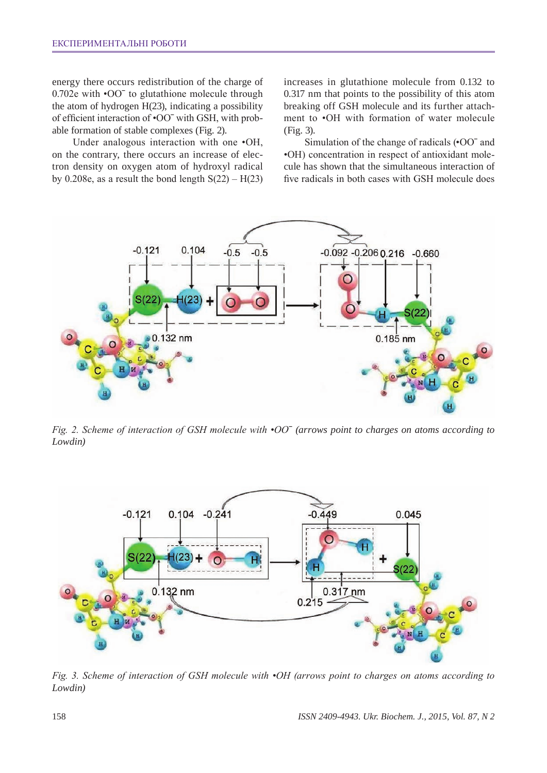energy there occurs redistribution of the charge of 0.702e with  $\cdot$ OO<sup> $-$ </sup> to glutathione molecule through the atom of hydrogen H(23), indicating a possibility of efficient interaction of •ООˉ with GSH, with probable formation of stable complexes (Fig. 2).

Under analogous interaction with one •ОН, on the contrary, there occurs an increase of electron density on oxygen atom of hydroxyl radical by 0.208e, as a result the bond length  $S(22) - H(23)$  increases in glutathione molecule from 0.132 to 0.317 nm that points to the possibility of this atom breaking off GSH molecule and its further attachment to •ОН with formation of water molecule (Fig. 3).

Simulation of the change of radicals (•ООˉ and •ОН) concentration in respect of antioxidant molecule has shown that the simultaneous interaction of five radicals in both cases with GSH molecule does



*Fig. 2. Scheme of interaction of GSH molecule with •ОО*ˉ *(arrows point to charges on atoms according to Lowdin)*



*Fig. 3. Scheme of interaction of GSH molecule with •ОН (arrows point to charges on atoms according to Lowdin)*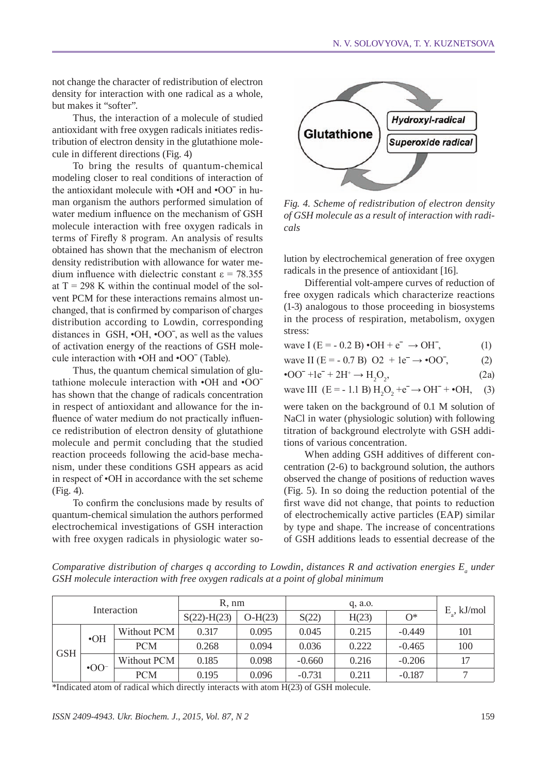not change the character of redistribution of electron density for interaction with one radical as a whole, but makes it "softer".

Thus, the interaction of a molecule of studied antioxidant with free oxygen radicals initiates redistribution of electron density in the glutathione molecule in different directions (Fig. 4)

To bring the results of quantum-chemical modeling closer to real conditions of interaction of the antioxidant molecule with •ОН and •ООˉ in human organism the authors performed simulation of water medium influence on the mechanism of GSH molecule interaction with free oxygen radicals in terms of Firefly 8 program. An analysis of results obtained has shown that the mechanism of electron density redistribution with allowance for water medium influence with dielectric constant  $\epsilon$  = 78.355 at  $T = 298$  K within the continual model of the solvent PCM for these interactions remains almost unchanged, that is confirmed by comparison of charges distribution according to Lowdin, corresponding distances in GSH, •ОН, •ООˉ, as well as the values of activation energy of the reactions of GSH molecule interaction with •ОН and •ООˉ (Table).

Thus, the quantum chemical simulation of glutathione molecule interaction with •ОН and •ООˉ has shown that the change of radicals concentration in respect of antioxidant and allowance for the influence of water medium do not practically influence redistribution of electron density of glutathione molecule and permit concluding that the studied reaction proceeds following the acid-base mechanism, under these conditions GSH appears as acid in respect of •ОН in accordance with the set scheme (Fig. 4).

To confirm the conclusions made by results of quantum-chemical simulation the authors performed electrochemical investigations of GSH interaction with free oxygen radicals in physiologic water so-



*Fig. 4. Scheme of redistribution of electron density of GSH molecule as a result of interaction with radicals*

lution by electrochemical generation of free oxygen radicals in the presence of antioxidant [16].

Differential volt-ampere curves of reduction of free oxygen radicals which characterize reactions (1-3) analogous to those proceeding in biosystems in the process of respiration, metabolism, oxygen stress:

| wave I (E = - 0.2 B) $\cdot$ OH + e <sup>-</sup> $\rightarrow$ OH <sup>-</sup> , | <sup>(1)</sup> |
|----------------------------------------------------------------------------------|----------------|
| wave II (E = - 0.7 B) O2 + 1e <sup>-</sup> $\rightarrow$ •00 <sup>-</sup> ,      | (2)            |
| • $OO^- + 1e^- + 2H^+ \rightarrow H_2O_2$                                        | (2a)           |

wave III (E = -1.1 B) H<sub>2</sub>O<sub>2</sub> +
$$
e^ \rightarrow
$$
 OH<sup>-</sup> +  $\bullet$ OH, (3)

were taken on the background of 0.1 M solution of NaCl in water (physiologic solution) with following titration of background electrolyte with GSH additions of various concentration.

When adding GSH additives of different concentration (2-6) to background solution, the authors observed the change of positions of reduction waves (Fig. 5). In so doing the reduction potential of the first wave did not change, that points to reduction of electrochemically active particles (EAP) similar by type and shape. The increase of concentrations of GSH additions leads to essential decrease of the

*Comparative distribution of charges q according to Lowdin, distances R and activation energies*  $E_a$  *under GSH molecule interaction with free oxygen radicals at a point of global minimum*

|             |             | R. nm       |                 | $q$ , a.o. |          |       |          |                      |
|-------------|-------------|-------------|-----------------|------------|----------|-------|----------|----------------------|
| Interaction |             |             | $S(22) - H(23)$ | $O-H(23)$  | S(22)    | H(23) | $O^*$    | $E_{\circ}$ , kJ/mol |
| <b>GSH</b>  | $\cdot$ OH  | Without PCM | 0.317           | 0.095      | 0.045    | 0.215 | $-0.449$ | 101                  |
|             |             | <b>PCM</b>  | 0.268           | 0.094      | 0.036    | 0.222 | $-0.465$ | 100                  |
|             | $\cdot$ OO= | Without PCM | 0.185           | 0.098      | $-0.660$ | 0.216 | $-0.206$ | 17                   |
|             |             | <b>PCM</b>  | 0.195           | 0.096      | $-0.731$ | 0.211 | $-0.187$ | ⇁                    |

\*Indicated atom of radical which directly interacts with atom H(23) of GSH molecule.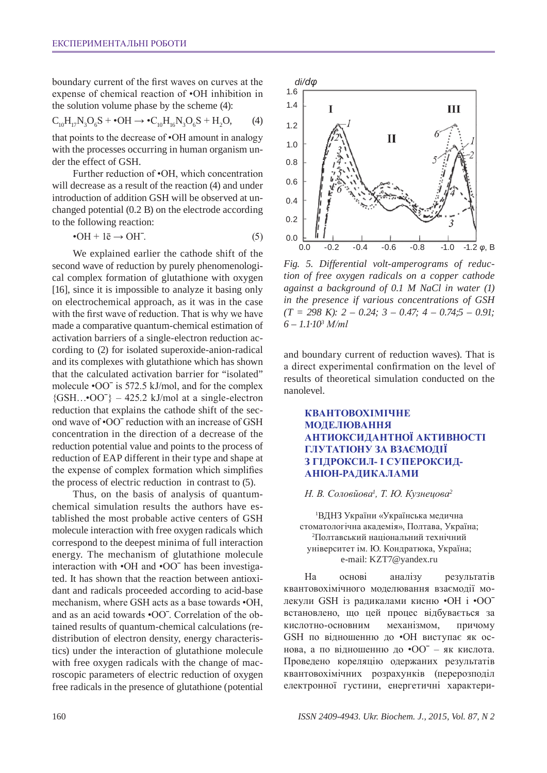boundary current of the first waves on curves at the expense of chemical reaction of •OH inhibition in the solution volume phase by the scheme (4):

$$
C_{10}H_{17}N_3O_6S + \bullet OH \rightarrow \bullet C_{10}H_{16}N_3O_6S + H_2O,
$$
 (4)

that points to the decrease of •OH amount in analogy with the processes occurring in human organism under the effect of GSH.

Further reduction of •OH, which concentration will decrease as a result of the reaction (4) and under introduction of addition GSH will be observed at unchanged potential (0.2 B) on the electrode according to the following reaction:

$$
\bullet \text{OH} + 1\overline{e} \rightarrow \text{OH}^-.
$$
 (5)

We explained earlier the cathode shift of the second wave of reduction by purely phenomenological complex formation of glutathione with oxygen [16], since it is impossible to analyze it basing only on electrochemical approach, as it was in the case with the first wave of reduction. That is why we have made a comparative quantum-chemical estimation of activation barriers of a single-electron reduction according to (2) for isolated superoxide-anion-radical and its complexes with glutathione which has shown that the calculated activation barrier for "isolated" molecule •ООˉ is 572.5 kJ/mol, and for the complex  ${GSH... O O^{\dagger}} - 425.2$  kJ/mol at a single-electron reduction that explains the cathode shift of the second wave of •ООˉ reduction with an increase of GSH concentration in the direction of a decrease of the reduction potential value and points to the process of reduction of EAP different in their type and shape at the expense of complex formation which simplifies the process of electric reduction in contrast to (5).

Thus, on the basis of analysis of quantumchemical simulation results the authors have established the most probable active centers of GSH molecule interaction with free oxygen radicals which correspond to the deepest minima of full interaction energy. The mechanism of glutathione molecule interaction with •ОН and •ООˉ has been investigated. It has shown that the reaction between antioxidant and radicals proceeded according to acid-base mechanism, where GSH acts as a base towards •ОН, and as an acid towards •ООˉ. Correlation of the obtained results of quantum-chemical calculations (redistribution of electron density, energy characteristics) under the interaction of glutathione molecule with free oxygen radicals with the change of macroscopic parameters of electric reduction of oxygen free radicals in the presence of glutathione (potential



*Fig. 5. Differential volt-amperograms of reduction of free oxygen radicals on a copper cathode against a background of 0.1 M NaCl in water (1) in the presence if various concentrations of GSH (T = 298 K): 2 – 0.24; 3 – 0.47; 4 – 0.74;5 – 0.91; 6 – 1.1·103 М/ml*

and boundary current of reduction waves). That is a direct experimental confirmation on the level of results of theoretical simulation conducted on the nanolevel.

## **Квантовохімічне моделювання антиоксидантної активності глутатіону за взаємодії з гідроксил- і супероксиданіон-радикалами**

### *Н. В. Соловйова<sup>1</sup> , Т. Ю. Кузнецова<sup>2</sup>*

1 ВДНЗ України «Українська медична стоматологічна академія», Полтава, Україна; 2 Полтавський національний технічний університет ім. Ю. Кондратюка, Україна; e-mail: KZT7@yandex.ru

На основі аналізу результатів квантовохімічного моделювання взаємодії молекули GSH із радикалами кисню •ОН і •ООˉ встановлено, що цей процес відбувається за кислотно-основним механізмом, причому GSH по відношенню до •ОН виступає як основа, а по відношенню до •ООˉ – як кислота. Проведено кореляцію одержаних результатів квантовохімічних розрахунків (перерозподіл електронної густини, енергетичні характери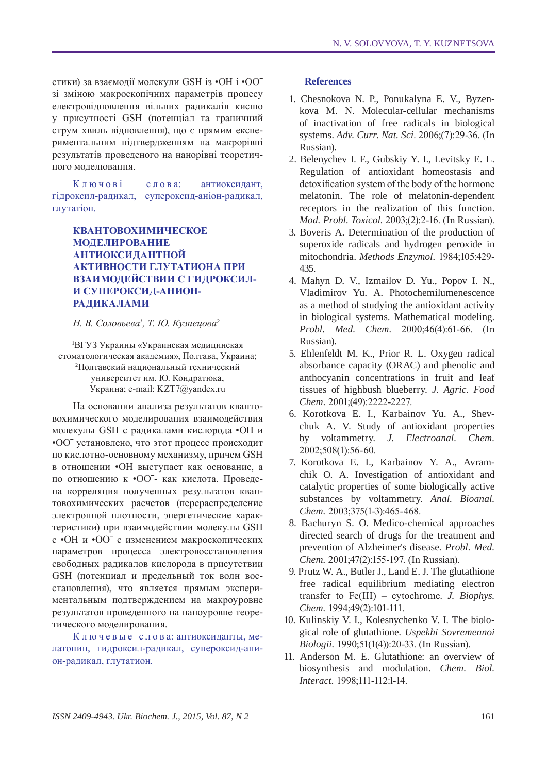стики) за взаємодії молекули GSH із •ОН і •ООˉ зі зміною макроскопічних параметрів процесу електровідновлення вільних радикалів кисню у присутності GSH (потенціал та граничний струм хвиль відновлення), що є прямим експериментальним підтвердженням на макрорівні результатів проведеного на нанорівні теоретичного моделювання.

Ключові слова: антиоксидант, гідроксил-радикал, супероксид-аніон-радикал, глутатіон.

# **Квантовохимическое моделирование антиоксидантной активности глутатиона при взаимодействии с гидроксили супероксид-анионрадикалами**

*Н. В. Соловьева<sup>1</sup> , Т. Ю. Кузнецова<sup>2</sup>*

1 ВГУЗ Украины «Украинская медицинская стоматологическая академия», Полтава, Украина; 2 Полтавский национальный технический университет им. Ю. Кондратюка, Украина; e-mail: KZT7@yandex.ru

На основании анализа результатов квантовохимического моделирования взаимодействия молекулы GSH с радикалами кислорода •ОН и •ООˉ установлено, что этот процесс происходит по кислотно-основному механизму, причем GSH в отношении •ОН выступает как основание, а по отношению к •ООˉ- как кислота. Проведена корреляция полученных результатов квантовохимических расчетов (перераспределение электронной плотности, энергетические характеристики) при взаимодействии молекулы GSH с •ОН и •ООˉ с изменением макроскопических параметров процесса электровосстановления свободных радикалов кислорода в присутствии GSH (потенциал и предельный ток волн восстановления), что является прямым экспериментальным подтверждением на макроуровне результатов проведенного на наноуровне теоретического моделирования.

К л ю ч е в ы е с л о в а: антиоксиданты, мелатонин, гидроксил-радикал, супероксид-анион-радикал, глутатион.

### **References**

- 1. Chesnokova N. P., Ponukalyna E. V., Byzenkova M. N. Molecular-cellular mechanisms of inactivation of free radicals in biological systems. *Adv. curr. Nat. Sci*. 2006;(7):29-36. (In Russian).
- 2. Belenychev I. F., Gubskiy Y. I., Levitsky E. L. Regulation of antioxidant homeostasis and detoxification system of the body of the hormone melatonin. The role of melatonin-dependent receptors in the realization of this function. *Mod. Probl. Toxicol.* 2003;(2):2-16. (In Russian).
- 3. Boveris A. Determination of the production of superoxide radicals and hydrogen peroxide in mitochondria. *Methods Enzymol.* 1984;105:429- 435.
- 4. Mahyn D. V., Izmailov D. Yu., Popov I. N., Vladimirov Yu. A. Photochemilumenescence as a method of studying the antioxidant activity in biological systems. Mathematical modeling. *Probl. Med. Chem.* 2000;46(4):61-66. (In Russian).
- 5. Ehlenfeldt M. K., Prior R. L. Oxygen radical absorbance capacity (ORAC) and phenolic and anthocyanin concentrations in fruit and leaf tissues of highbush blueberry. *J. Agric. Food Chem.* 2001;(49):2222-2227.
- 6. Korotkova E. I., Karbainov Yu. A., Shevchuk A. V. Study of antioxidant properties by voltammetry. *J. Electroanal. Chem.* 2002;508(1):56-60.
- 7. Korotkova E. I., Karbainov Y. A., Avramchik O. A. Investigation of antioxidant and catalytic properties of some biologically active substances by voltammetry. *Anal. Bioanal. Chem.* 2003;375(1-3):465-468.
- 8. Bachuryn S. O. Medico-chemical approaches directed search of drugs for the treatment and prevention of Alzheimer's disease. *Probl. Med. Chem.* 2001;47(2):155-197. (In Russian).
- 9. Prutz W. A., Butler J., Land E. J. The glutathione free radical equilibrium mediating electron transfer to Fе(III) – cytochrome. *J. Biophys. Chem.* 1994;49(2):101-111.
- 10. Kulinskiy V. I., Kolesnychenko V. I. The biological role of glutathione. *Uspekhi sovremennoi biologii.* 1990;51(1(4)):20-33. (In Russian).
- 11. Anderson M. E. Glutathione: an overview of biosynthesis and modulation. *Chem. Biol. Interact.* 1998;111-112:l-14.